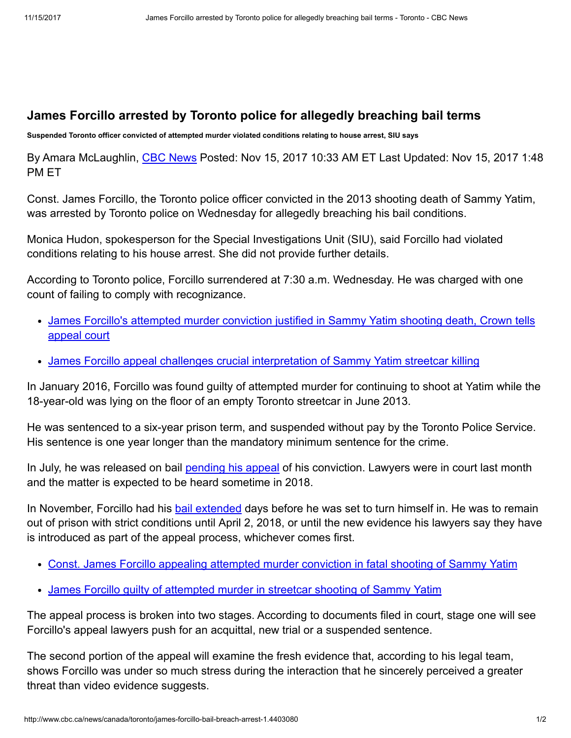## James Forcillo arrested by Toronto police for allegedly breaching bail terms

Suspended Toronto officer convicted of attempted murder violated conditions relating to house arrest, SIU says

By Amara McLaughlin, CBC [News](http://www.cbc.ca/news/cbc-news-online-news-staff-list-1.1294364) Posted: Nov 15, 2017 10:33 AM ET Last Updated: Nov 15, 2017 1:48 PM ET

Const. James Forcillo, the Toronto police officer convicted in the 2013 shooting death of Sammy Yatim, was arrested by Toronto police on Wednesday for allegedly breaching his bail conditions.

Monica Hudon, spokesperson for the Special Investigations Unit (SIU), said Forcillo had violated conditions relating to his house arrest. She did not provide further details.

According to Toronto police, Forcillo surrendered at 7:30 a.m. Wednesday. He was charged with one count of failing to comply with recognizance.

- James Forcillo's [attempted](http://www.cbc.ca/news/canada/toronto/forcillo-appeal-crown-arguments-1.4320762) murder conviction justified in Sammy Yatim shooting death, Crown tells appeal court
- James Forcillo appeal challenges crucial [interpretation](http://www.cbc.ca/news/canada/toronto/forcillo-appeal-yatim-1.4317368) of Sammy Yatim streetcar killing

In January 2016, Forcillo was found guilty of attempted murder for continuing to shoot at Yatim while the 18-year-old was lying on the floor of an empty Toronto streetcar in June 2013.

He was sentenced to a six-year prison term, and suspended without pay by the Toronto Police Service. His sentence is one year longer than the mandatory minimum sentence for the crime.

In July, he was released on bail [pending](http://www.cbc.ca/news/canada/toronto/james-forcillo-sentencing-1.3698183) his appeal of his conviction. Lawyers were in court last month and the matter is expected to be heard sometime in 2018.

In November, Forcillo had his bail [extended](http://www.cbc.ca/news/canada/toronto/forcillo-bail-extended-1.4313650) days before he was set to turn himself in. He was to remain out of prison with strict conditions until April 2, 2018, or until the new evidence his lawyers say they have is introduced as part of the appeal process, whichever comes first.

- Const. James Forcillo appealing [attempted](http://www.cbc.ca/news/canada/toronto/james-forcillo-sentencing-1.3698183) murder conviction in fatal shooting of Sammy Yatim
- James Forcillo guilty of [attempted](http://www.cbc.ca/news/canada/toronto/james-forcillo-verdict-1.3414974) murder in streetcar shooting of Sammy Yatim

The appeal process is broken into two stages. According to documents filed in court, stage one will see Forcillo's appeal lawyers push for an acquittal, new trial or a suspended sentence.

The second portion of the appeal will examine the fresh evidence that, according to his legal team, shows Forcillo was under so much stress during the interaction that he sincerely perceived a greater threat than video evidence suggests.